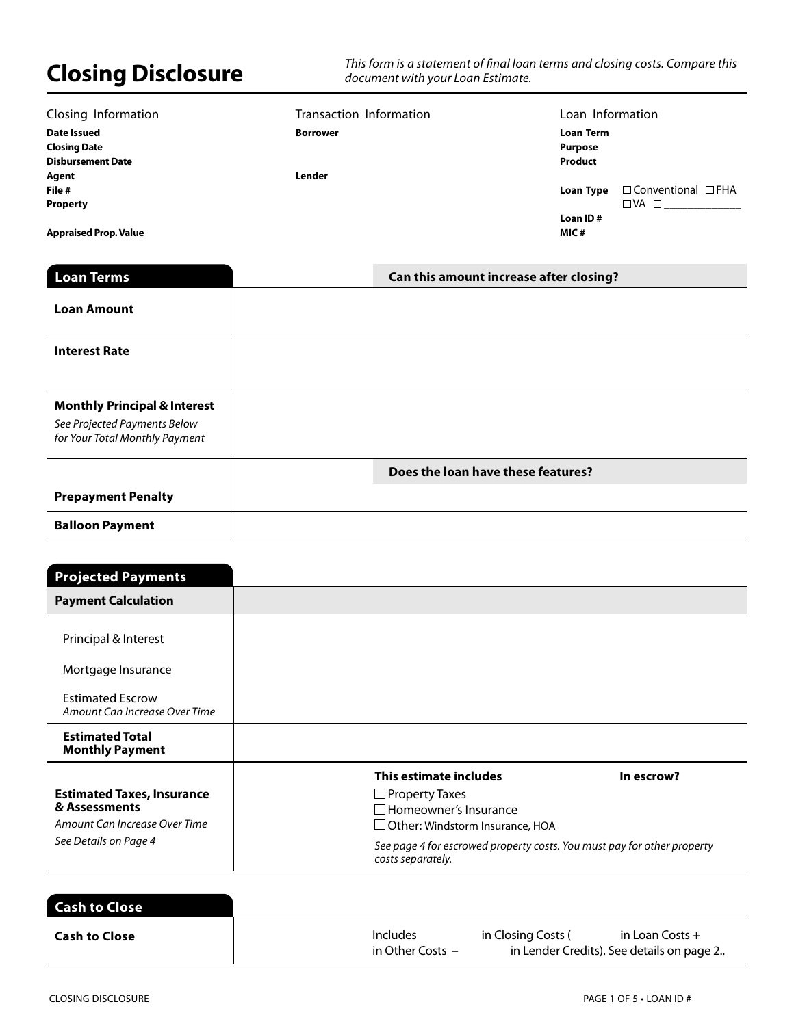This form is a statement of final loan terms and closing costs. Compare this **Closing Disclosure** document with your Loan Estimate.

| Closing Information                                            | Transaction Information | Loan Information                              |                                                 |
|----------------------------------------------------------------|-------------------------|-----------------------------------------------|-------------------------------------------------|
| Date Issued<br><b>Closing Date</b><br><b>Disbursement Date</b> | <b>Borrower</b>         | <b>Loan Term</b><br><b>Purpose</b><br>Product |                                                 |
| Agent<br>File #                                                | Lender                  |                                               | <b>Loan Type</b> $\Box$ Conventional $\Box$ FHA |
| Property<br><b>Appraised Prop. Value</b>                       |                         | Loan ID#<br>MIC#                              | $\Box$ VA $\Box$                                |

| <b>Loan Terms</b>                                                                                         | <b>Can this amount increase after closing?</b> |
|-----------------------------------------------------------------------------------------------------------|------------------------------------------------|
| <b>Loan Amount</b>                                                                                        |                                                |
| <b>Interest Rate</b>                                                                                      |                                                |
| <b>Monthly Principal &amp; Interest</b><br>See Projected Payments Below<br>for Your Total Monthly Payment |                                                |
|                                                                                                           | Does the loan have these features?             |
| <b>Prepayment Penalty</b>                                                                                 |                                                |
| <b>Balloon Payment</b>                                                                                    |                                                |

| <b>Projected Payments</b>                                                           |                                                                                                 |            |
|-------------------------------------------------------------------------------------|-------------------------------------------------------------------------------------------------|------------|
| <b>Payment Calculation</b>                                                          |                                                                                                 |            |
| Principal & Interest                                                                |                                                                                                 |            |
| Mortgage Insurance                                                                  |                                                                                                 |            |
| <b>Estimated Escrow</b><br>Amount Can Increase Over Time                            |                                                                                                 |            |
| <b>Estimated Total</b><br><b>Monthly Payment</b>                                    |                                                                                                 |            |
|                                                                                     | This estimate includes                                                                          | In escrow? |
| <b>Estimated Taxes, Insurance</b><br>& Assessments<br>Amount Can Increase Over Time | $\Box$ Property Taxes<br>$\Box$ Homeowner's Insurance<br>$\Box$ Other: Windstorm Insurance, HOA |            |
| See Details on Page 4                                                               | See page 4 for escrowed property costs. You must pay for other property<br>costs separately.    |            |

| <b>Cash to Close</b> |                                |                    |                                                                |
|----------------------|--------------------------------|--------------------|----------------------------------------------------------------|
| <b>Cash to Close</b> | Includes<br>in Other Costs $-$ | in Closing Costs ( | in Loan Costs $+$<br>in Lender Credits). See details on page 2 |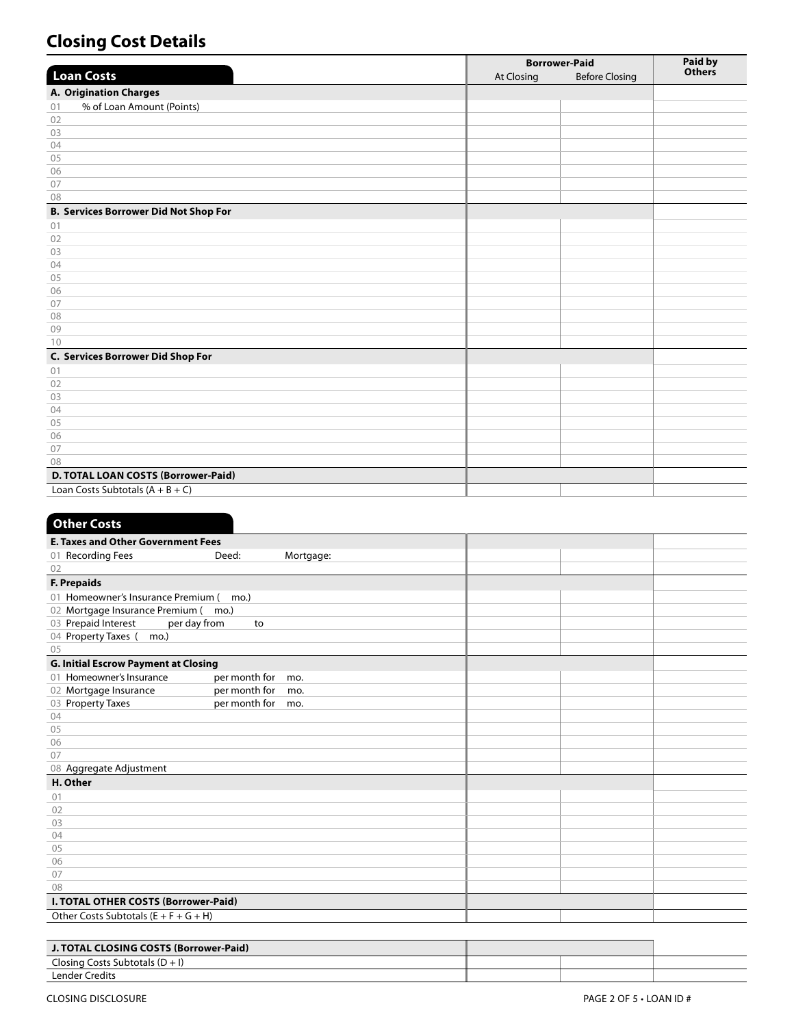# **Closing Cost Details**

|                                              | <b>Borrower-Paid</b> |                       |                   |
|----------------------------------------------|----------------------|-----------------------|-------------------|
| <b>Loan Costs</b>                            | <b>At Closing</b>    | <b>Before Closing</b> | Paid by<br>Others |
| A. Origination Charges                       |                      |                       |                   |
| % of Loan Amount (Points)<br>01              |                      |                       |                   |
| 02                                           |                      |                       |                   |
| 03                                           |                      |                       |                   |
| 04                                           |                      |                       |                   |
| 05                                           |                      |                       |                   |
| 06                                           |                      |                       |                   |
| 07                                           |                      |                       |                   |
| 08                                           |                      |                       |                   |
| <b>B. Services Borrower Did Not Shop For</b> |                      |                       |                   |
| 01                                           |                      |                       |                   |
| 02                                           |                      |                       |                   |
| 03                                           |                      |                       |                   |
| 04                                           |                      |                       |                   |
| 05                                           |                      |                       |                   |
| 06                                           |                      |                       |                   |
| 07                                           |                      |                       |                   |
| 08                                           |                      |                       |                   |
| 09                                           |                      |                       |                   |
| 10                                           |                      |                       |                   |
| C. Services Borrower Did Shop For            |                      |                       |                   |
| 01                                           |                      |                       |                   |
| 02                                           |                      |                       |                   |
| 03                                           |                      |                       |                   |
| 04                                           |                      |                       |                   |
| 05<br>06                                     |                      |                       |                   |
| 07                                           |                      |                       |                   |
| 08                                           |                      |                       |                   |
| D. TOTAL LOAN COSTS (Borrower-Paid)          |                      |                       |                   |
| Loan Costs Subtotals $(A + B + C)$           |                      |                       |                   |
|                                              |                      |                       |                   |

# **Other Costs**

| <b>E. Taxes and Other Government Fees</b>   |               |           |  |  |  |
|---------------------------------------------|---------------|-----------|--|--|--|
| 01 Recording Fees                           | Deed:         | Mortgage: |  |  |  |
| 02                                          |               |           |  |  |  |
| F. Prepaids                                 |               |           |  |  |  |
| 01 Homeowner's Insurance Premium (          | mo.)          |           |  |  |  |
| 02 Mortgage Insurance Premium ( mo.)        |               |           |  |  |  |
| 03 Prepaid Interest<br>per day from         | to            |           |  |  |  |
| 04 Property Taxes (<br>mo.)                 |               |           |  |  |  |
| 05                                          |               |           |  |  |  |
| <b>G. Initial Escrow Payment at Closing</b> |               |           |  |  |  |
| 01 Homeowner's Insurance                    | per month for | mo.       |  |  |  |
| 02 Mortgage Insurance                       | per month for | mo.       |  |  |  |
| 03 Property Taxes                           | per month for | mo.       |  |  |  |
| 04                                          |               |           |  |  |  |
| 05                                          |               |           |  |  |  |
| 06                                          |               |           |  |  |  |
| 07                                          |               |           |  |  |  |
| 08 Aggregate Adjustment                     |               |           |  |  |  |
| H. Other                                    |               |           |  |  |  |
| 01                                          |               |           |  |  |  |
| 02                                          |               |           |  |  |  |
| 03                                          |               |           |  |  |  |
| 04                                          |               |           |  |  |  |
| 05                                          |               |           |  |  |  |
| 06                                          |               |           |  |  |  |
| 07                                          |               |           |  |  |  |
| 08                                          |               |           |  |  |  |
| I. TOTAL OTHER COSTS (Borrower-Paid)        |               |           |  |  |  |
| Other Costs Subtotals $(E + F + G + H)$     |               |           |  |  |  |
|                                             |               |           |  |  |  |

| J. TOTAL CLOSING COSTS (Borrower-Paid) |  |  |
|----------------------------------------|--|--|
| Closing Costs Subtotals ( $D +$        |  |  |
| Lender Credits                         |  |  |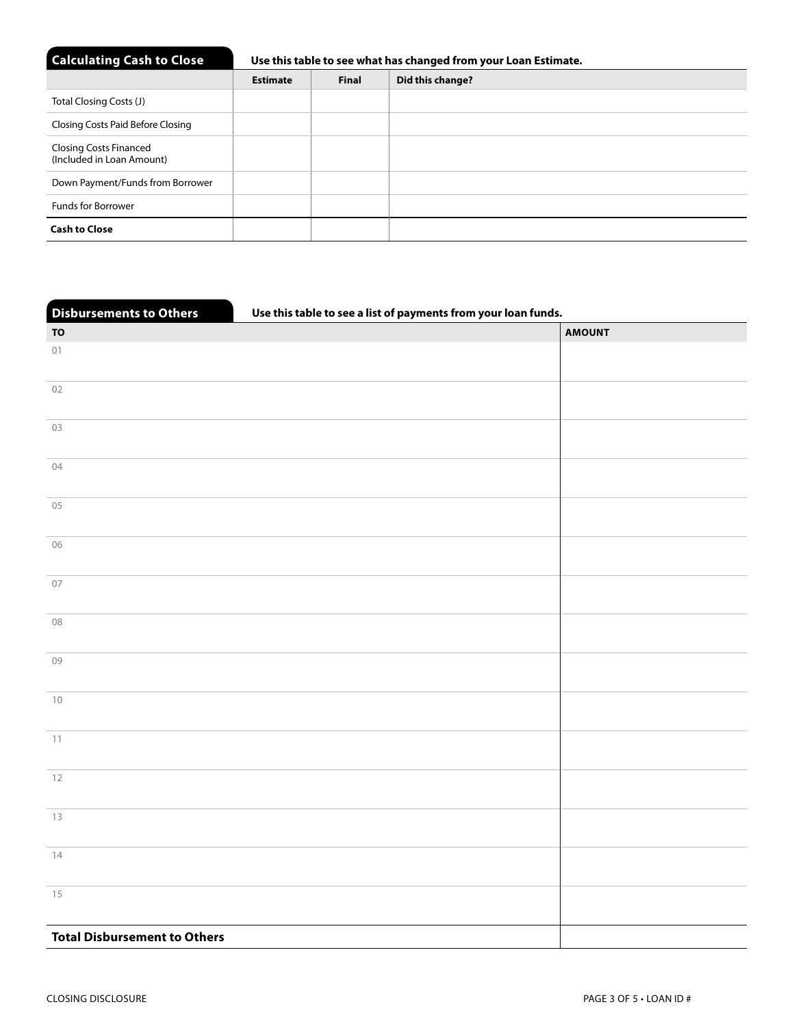| <b>Calculating Cash to Close</b>                           | Use this table to see what has changed from your Loan Estimate. |              |                  |
|------------------------------------------------------------|-----------------------------------------------------------------|--------------|------------------|
|                                                            | <b>Estimate</b>                                                 | <b>Final</b> | Did this change? |
| Total Closing Costs (J)                                    |                                                                 |              |                  |
| Closing Costs Paid Before Closing                          |                                                                 |              |                  |
| <b>Closing Costs Financed</b><br>(Included in Loan Amount) |                                                                 |              |                  |
| Down Payment/Funds from Borrower                           |                                                                 |              |                  |
| <b>Funds for Borrower</b>                                  |                                                                 |              |                  |
| <b>Cash to Close</b>                                       |                                                                 |              |                  |

| <b>Disbursements to Others</b>      | Use this table to see a list of payments from your loan funds. |               |  |
|-------------------------------------|----------------------------------------------------------------|---------------|--|
| <b>TO</b>                           |                                                                | <b>AMOUNT</b> |  |
| $01$                                |                                                                |               |  |
| 02                                  |                                                                |               |  |
| 03                                  |                                                                |               |  |
| 04                                  |                                                                |               |  |
| 05                                  |                                                                |               |  |
| 06                                  |                                                                |               |  |
| 07                                  |                                                                |               |  |
| 08                                  |                                                                |               |  |
| 09                                  |                                                                |               |  |
| $10$                                |                                                                |               |  |
| $11\,$                              |                                                                |               |  |
| 12                                  |                                                                |               |  |
| 13                                  |                                                                |               |  |
| 14                                  |                                                                |               |  |
| 15                                  |                                                                |               |  |
| <b>Total Disbursement to Others</b> |                                                                |               |  |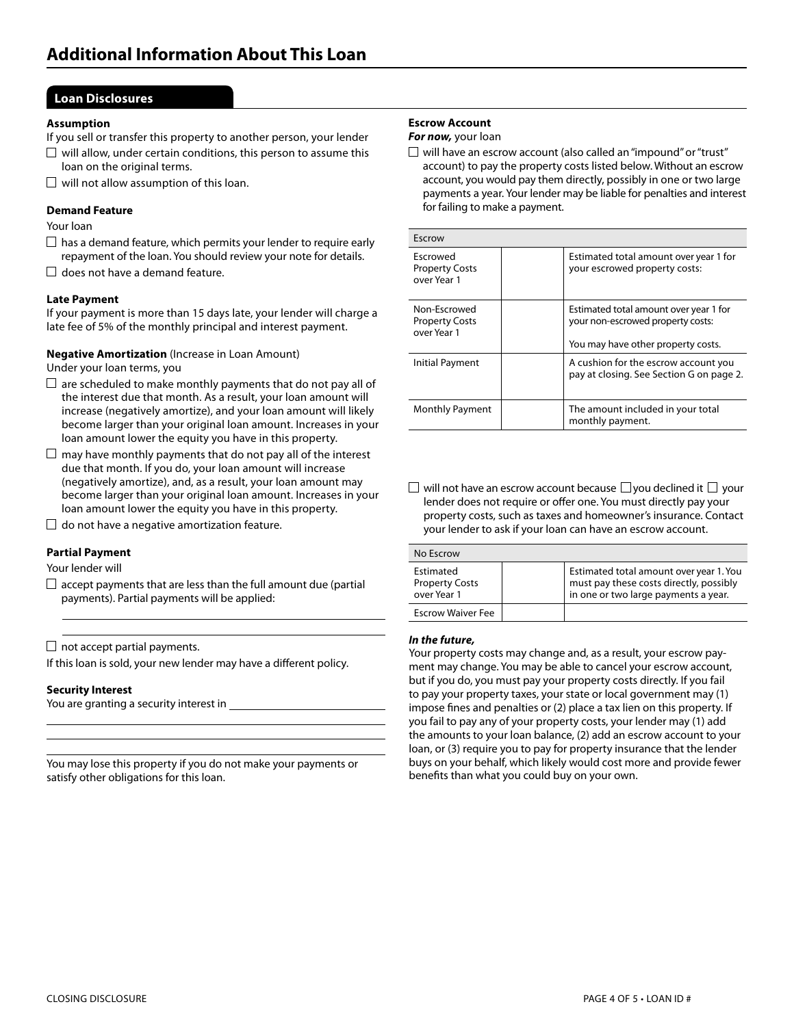#### **Assumption**

- If you sell or transfer this property to another person, your lender  $\Box$  will allow, under certain conditions, this person to assume this loan on the original terms.
- $\Box$  will not allow assumption of this loan.

#### **Demand Feature**

Your loan

- $\Box$  has a demand feature, which permits your lender to require early repayment of the loan. You should review your note for details.
- $\Box$  does not have a demand feature.

#### **Late Payment**

If your payment is more than 15 days late, your lender will charge a late fee of 5% of the monthly principal and interest payment.

#### **Negative Amortization** (Increase in Loan Amount)

Under your loan terms, you

- $\Box$  are scheduled to make monthly payments that do not pay all of the interest due that month. As a result, your loan amount will increase (negatively amortize), and your loan amount will likely become larger than your original loan amount. Increases in your loan amount lower the equity you have in this property.
- $\Box$  may have monthly payments that do not pay all of the interest due that month. If you do, your loan amount will increase (negatively amortize), and, as a result, your loan amount may become larger than your original loan amount. Increases in your loan amount lower the equity you have in this property.
- $\Box$  do not have a negative amortization feature.

#### **Partial Payment**

Your lender will

 $\Box$  accept payments that are less than the full amount due (partial payments). Partial payments will be applied:

 $\Box$  not accept partial payments.

If this loan is sold, your new lender may have a different policy.

# **Security Interest**

You are granting a security interest in \_

You may lose this property if you do not make your payments or satisfy other obligations for this loan.

### **Escrow Account**

## **For now,** your loan

 $\Box$  will have an escrow account (also called an "impound" or "trust" account) to pay the property costs listed below. Without an escrow account, you would pay them directly, possibly in one or two large payments a year. Your lender may be liable for penalties and interest for failing to make a payment.

| Escrow                                                  |                                                                                                                   |
|---------------------------------------------------------|-------------------------------------------------------------------------------------------------------------------|
| <b>Fscrowed</b><br><b>Property Costs</b><br>over Year 1 | Estimated total amount over year 1 for<br>your escrowed property costs:                                           |
| Non-Escrowed<br><b>Property Costs</b><br>over Year 1    | Estimated total amount over year 1 for<br>your non-escrowed property costs:<br>You may have other property costs. |
| <b>Initial Payment</b>                                  | A cushion for the escrow account you<br>pay at closing. See Section G on page 2.                                  |
| <b>Monthly Payment</b>                                  | The amount included in your total<br>monthly payment.                                                             |

 $\Box$  will not have an escrow account because  $\Box$  you declined it  $\Box$  your lender does not require or offer one. You must directly pay your property costs, such as taxes and homeowner's insurance. Contact your lender to ask if your loan can have an escrow account.

| No Escrow                                         |                                                                                                                            |
|---------------------------------------------------|----------------------------------------------------------------------------------------------------------------------------|
| Estimated<br><b>Property Costs</b><br>over Year 1 | Estimated total amount over year 1. You<br>must pay these costs directly, possibly<br>in one or two large payments a year. |
| <b>Escrow Waiver Fee</b>                          |                                                                                                                            |

## **In the future,**

Your property costs may change and, as a result, your escrow payment may change. You may be able to cancel your escrow account, but if you do, you must pay your property costs directly. If you fail to pay your property taxes, your state or local government may (1) impose fines and penalties or (2) place a tax lien on this property. If you fail to pay any of your property costs, your lender may (1) add the amounts to your loan balance, (2) add an escrow account to your loan, or (3) require you to pay for property insurance that the lender buys on your behalf, which likely would cost more and provide fewer benefits than what you could buy on your own.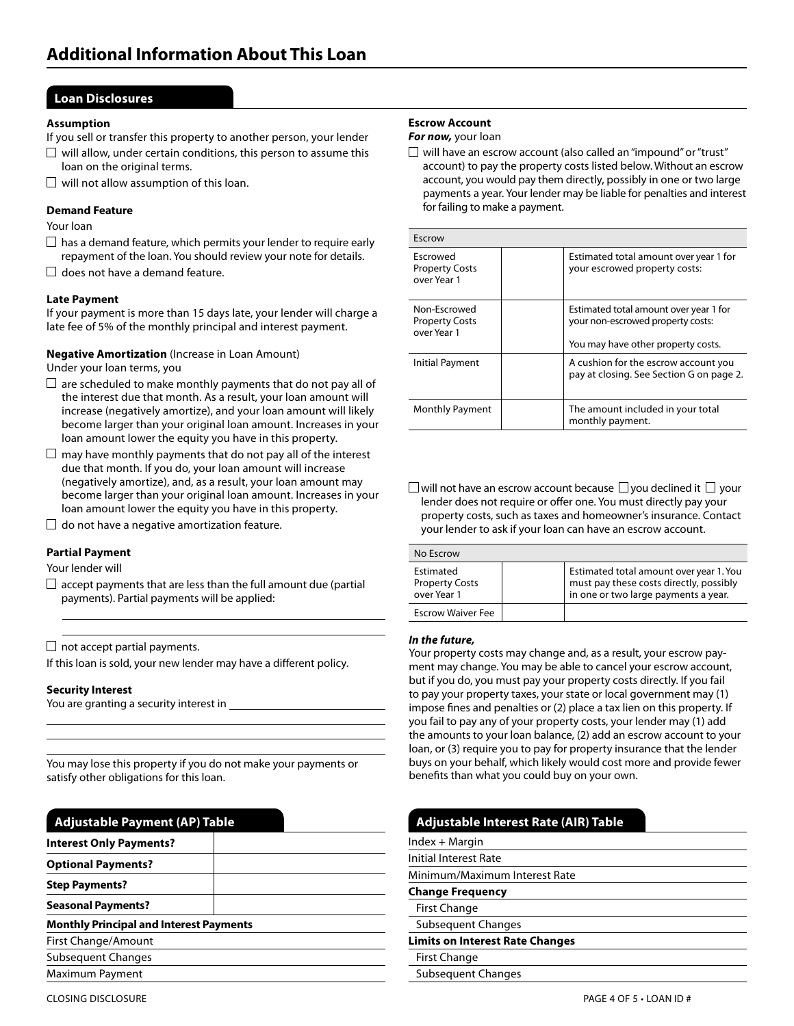#### **Assumption**

- If you sell or transfer this property to another person, your lender  $\Box$  will allow, under certain conditions, this person to assume this loan on the original terms.
- $\Box$  will not allow assumption of this loan.

#### **Demand Feature**

Your loan

- $\Box$  has a demand feature, which permits your lender to require early repayment of the loan. You should review your note for details.
- $\Box$  does not have a demand feature.

#### **Late Payment**

If your payment is more than 15 days late, your lender will charge a late fee of 5% of the monthly principal and interest payment.

#### **Negative Amortization** (Increase in Loan Amount)

Under your loan terms, you

- $\Box$  are scheduled to make monthly payments that do not pay all of the interest due that month. As a result, your loan amount will increase (negatively amortize), and your loan amount will likely become larger than your original loan amount. Increases in your loan amount lower the equity you have in this property.
- $\Box$  may have monthly payments that do not pay all of the interest due that month. If you do, your loan amount will increase (negatively amortize), and, as a result, your loan amount may become larger than your original loan amount. Increases in your loan amount lower the equity you have in this property.
- $\Box$  do not have a negative amortization feature.

#### **Partial Payment**

Your lender will

 $\Box$  accept payments that are less than the full amount due (partial payments). Partial payments will be applied:

 $\Box$  not accept partial payments.

If this loan is sold, your new lender may have a different policy.

#### **Security Interest**

You are granting a security interest in \_\_

You may lose this property if you do not make your payments or satisfy other obligations for this loan.

| <b>Adjustable Payment (AP) Table</b>           |  |  |
|------------------------------------------------|--|--|
| <b>Interest Only Payments?</b>                 |  |  |
| <b>Optional Payments?</b>                      |  |  |
| <b>Step Payments?</b>                          |  |  |
| <b>Seasonal Payments?</b>                      |  |  |
| <b>Monthly Principal and Interest Payments</b> |  |  |
| First Change/Amount                            |  |  |
| <b>Subsequent Changes</b>                      |  |  |
| Maximum Payment                                |  |  |

#### **Escrow Account**

#### **For now,** your loan

 $\Box$  will have an escrow account (also called an "impound" or "trust" account) to pay the property costs listed below. Without an escrow account, you would pay them directly, possibly in one or two large payments a year. Your lender may be liable for penalties and interest for failing to make a payment.

| Escrow                                               |                                                                                                                   |
|------------------------------------------------------|-------------------------------------------------------------------------------------------------------------------|
| Escrowed<br><b>Property Costs</b><br>over Year 1     | Estimated total amount over year 1 for<br>your escrowed property costs:                                           |
| Non-Escrowed<br><b>Property Costs</b><br>over Year 1 | Estimated total amount over year 1 for<br>your non-escrowed property costs:<br>You may have other property costs. |
| <b>Initial Payment</b>                               | A cushion for the escrow account you<br>pay at closing. See Section G on page 2.                                  |
| <b>Monthly Payment</b>                               | The amount included in your total<br>monthly payment.                                                             |

 $\Box$  will not have an escrow account because  $\Box$  you declined it  $\Box$  your lender does not require or offer one. You must directly pay your property costs, such as taxes and homeowner's insurance. Contact your lender to ask if your loan can have an escrow account.

| No Escrow                                         |                                                                                                                            |
|---------------------------------------------------|----------------------------------------------------------------------------------------------------------------------------|
| Estimated<br><b>Property Costs</b><br>over Year 1 | Estimated total amount over year 1. You<br>must pay these costs directly, possibly<br>in one or two large payments a year. |
| <b>Escrow Waiver Fee</b>                          |                                                                                                                            |

#### **In the future,**

Your property costs may change and, as a result, your escrow payment may change. You may be able to cancel your escrow account, but if you do, you must pay your property costs directly. If you fail to pay your property taxes, your state or local government may (1) impose fines and penalties or (2) place a tax lien on this property. If you fail to pay any of your property costs, your lender may (1) add the amounts to your loan balance, (2) add an escrow account to your loan, or (3) require you to pay for property insurance that the lender buys on your behalf, which likely would cost more and provide fewer benefits than what you could buy on your own.

| Adjustable Interest Rate (AIR) Table   |
|----------------------------------------|
| Index + Margin                         |
| <b>Initial Interest Rate</b>           |
| Minimum/Maximum Interest Rate          |
| Change Frequency                       |
| <b>First Change</b>                    |
| <b>Subsequent Changes</b>              |
| <b>Limits on Interest Rate Changes</b> |
| First Change                           |
| <b>Subsequent Changes</b>              |
|                                        |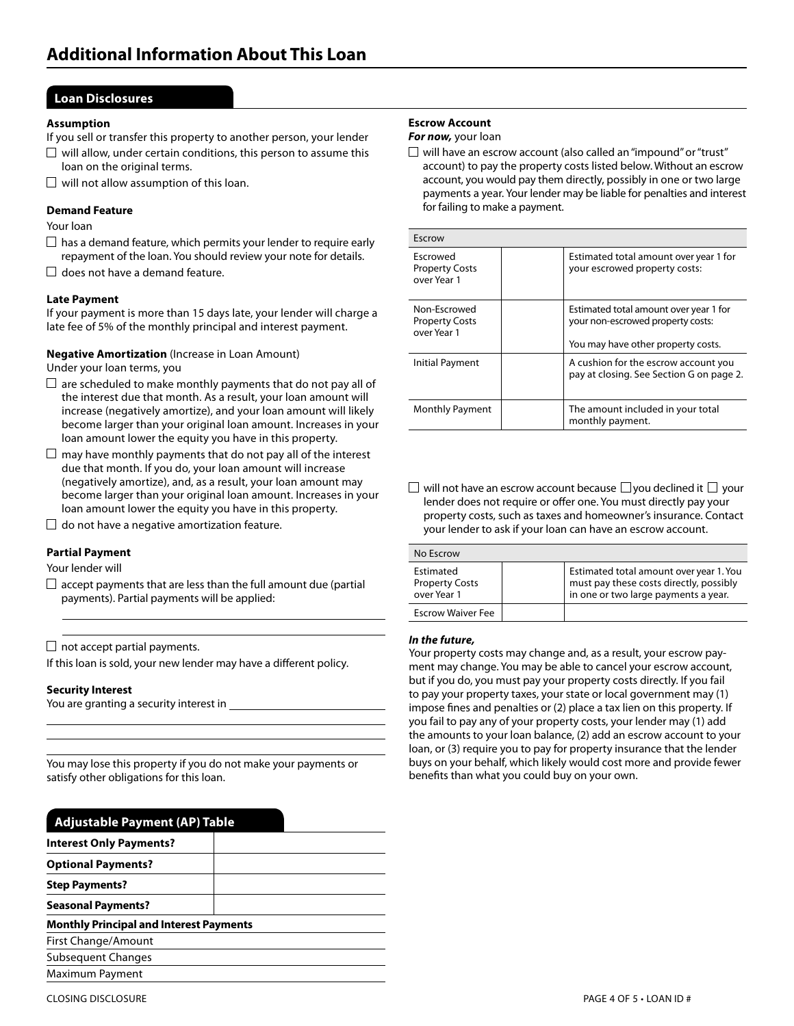#### **Assumption**

- If you sell or transfer this property to another person, your lender  $\Box$  will allow, under certain conditions, this person to assume this loan on the original terms.
- $\Box$  will not allow assumption of this loan.

#### **Demand Feature**

Your loan

- $\Box$  has a demand feature, which permits your lender to require early repayment of the loan. You should review your note for details.
- $\Box$  does not have a demand feature.

#### **Late Payment**

If your payment is more than 15 days late, your lender will charge a late fee of 5% of the monthly principal and interest payment.

#### **Negative Amortization** (Increase in Loan Amount)

Under your loan terms, you

- $\Box$  are scheduled to make monthly payments that do not pay all of the interest due that month. As a result, your loan amount will increase (negatively amortize), and your loan amount will likely become larger than your original loan amount. Increases in your loan amount lower the equity you have in this property.
- $\Box$  may have monthly payments that do not pay all of the interest due that month. If you do, your loan amount will increase (negatively amortize), and, as a result, your loan amount may become larger than your original loan amount. Increases in your loan amount lower the equity you have in this property.
- $\Box$  do not have a negative amortization feature.

#### **Partial Payment**

Your lender will

 $\Box$  accept payments that are less than the full amount due (partial payments). Partial payments will be applied:

 $\Box$  not accept partial payments.

If this loan is sold, your new lender may have a different policy.

#### **Security Interest**

You are granting a security interest in

You may lose this property if you do not make your payments or satisfy other obligations for this loan.

| <b>Adjustable Payment (AP) Table</b>           |  |  |
|------------------------------------------------|--|--|
| <b>Interest Only Payments?</b>                 |  |  |
| <b>Optional Payments?</b>                      |  |  |
| <b>Step Payments?</b>                          |  |  |
| <b>Seasonal Payments?</b>                      |  |  |
| <b>Monthly Principal and Interest Payments</b> |  |  |
| First Change/Amount                            |  |  |
| <b>Subsequent Changes</b>                      |  |  |
| Maximum Payment                                |  |  |

#### **Escrow Account**

#### **For now,** your loan

 $\Box$  will have an escrow account (also called an "impound" or "trust" account) to pay the property costs listed below. Without an escrow account, you would pay them directly, possibly in one or two large payments a year. Your lender may be liable for penalties and interest for failing to make a payment.

| Escrow                                               |                                                                                                                   |
|------------------------------------------------------|-------------------------------------------------------------------------------------------------------------------|
| Escrowed<br><b>Property Costs</b><br>over Year 1     | Estimated total amount over year 1 for<br>your escrowed property costs:                                           |
| Non-Escrowed<br><b>Property Costs</b><br>over Year 1 | Estimated total amount over year 1 for<br>your non-escrowed property costs:<br>You may have other property costs. |
| Initial Payment                                      | A cushion for the escrow account you<br>pay at closing. See Section G on page 2.                                  |
| Monthly Payment                                      | The amount included in your total<br>monthly payment.                                                             |

 $\Box$  will not have an escrow account because  $\Box$  you declined it  $\Box$  your lender does not require or offer one. You must directly pay your property costs, such as taxes and homeowner's insurance. Contact your lender to ask if your loan can have an escrow account.

| No Escrow                                         |                                                                                                                            |
|---------------------------------------------------|----------------------------------------------------------------------------------------------------------------------------|
| Estimated<br><b>Property Costs</b><br>over Year 1 | Estimated total amount over year 1. You<br>must pay these costs directly, possibly<br>in one or two large payments a year. |
| <b>Escrow Waiver Fee</b>                          |                                                                                                                            |

#### **In the future,**

Your property costs may change and, as a result, your escrow payment may change. You may be able to cancel your escrow account, but if you do, you must pay your property costs directly. If you fail to pay your property taxes, your state or local government may (1) impose fines and penalties or (2) place a tax lien on this property. If you fail to pay any of your property costs, your lender may (1) add the amounts to your loan balance, (2) add an escrow account to your loan, or (3) require you to pay for property insurance that the lender buys on your behalf, which likely would cost more and provide fewer benefits than what you could buy on your own.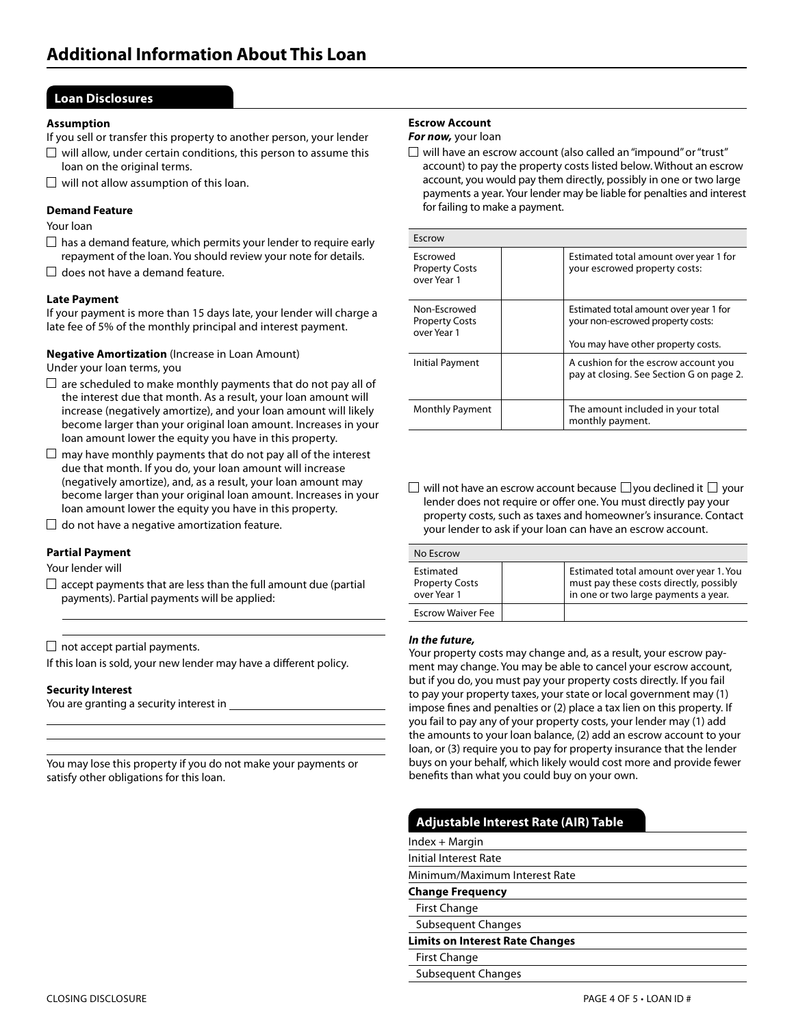#### **Assumption**

- If you sell or transfer this property to another person, your lender  $\Box$  will allow, under certain conditions, this person to assume this loan on the original terms.
- $\Box$  will not allow assumption of this loan.

#### **Demand Feature**

Your loan

- $\Box$  has a demand feature, which permits your lender to require early repayment of the loan. You should review your note for details.
- $\Box$  does not have a demand feature.

#### **Late Payment**

If your payment is more than 15 days late, your lender will charge a late fee of 5% of the monthly principal and interest payment.

#### **Negative Amortization** (Increase in Loan Amount)

Under your loan terms, you

- $\Box$  are scheduled to make monthly payments that do not pay all of the interest due that month. As a result, your loan amount will increase (negatively amortize), and your loan amount will likely become larger than your original loan amount. Increases in your loan amount lower the equity you have in this property.
- $\Box$  may have monthly payments that do not pay all of the interest due that month. If you do, your loan amount will increase (negatively amortize), and, as a result, your loan amount may become larger than your original loan amount. Increases in your loan amount lower the equity you have in this property.
- $\Box$  do not have a negative amortization feature.

#### **Partial Payment**

Your lender will

 $\Box$  accept payments that are less than the full amount due (partial payments). Partial payments will be applied:

 $\Box$  not accept partial payments.

If this loan is sold, your new lender may have a different policy.

#### **Security Interest**

You are granting a security interest in

You may lose this property if you do not make your payments or satisfy other obligations for this loan.

#### **Escrow Account**

#### **For now,** your loan

 $\Box$  will have an escrow account (also called an "impound" or "trust" account) to pay the property costs listed below. Without an escrow account, you would pay them directly, possibly in one or two large payments a year. Your lender may be liable for penalties and interest for failing to make a payment.

| Escrow                                               |                                                                                                                   |
|------------------------------------------------------|-------------------------------------------------------------------------------------------------------------------|
| Escrowed<br><b>Property Costs</b><br>over Year 1     | Estimated total amount over year 1 for<br>your escrowed property costs:                                           |
| Non-Escrowed<br><b>Property Costs</b><br>over Year 1 | Estimated total amount over year 1 for<br>your non-escrowed property costs:<br>You may have other property costs. |
| Initial Payment                                      | A cushion for the escrow account you<br>pay at closing. See Section G on page 2.                                  |
| Monthly Payment                                      | The amount included in your total<br>monthly payment.                                                             |

 $\Box$  will not have an escrow account because  $\Box$  you declined it  $\Box$  your lender does not require or offer one. You must directly pay your property costs, such as taxes and homeowner's insurance. Contact your lender to ask if your loan can have an escrow account.

| No Escrow                                         |                                                                                                                            |
|---------------------------------------------------|----------------------------------------------------------------------------------------------------------------------------|
| Estimated<br><b>Property Costs</b><br>over Year 1 | Estimated total amount over year 1. You<br>must pay these costs directly, possibly<br>in one or two large payments a year. |
| <b>Escrow Waiver Fee</b>                          |                                                                                                                            |

#### **In the future,**

Your property costs may change and, as a result, your escrow payment may change. You may be able to cancel your escrow account, but if you do, you must pay your property costs directly. If you fail to pay your property taxes, your state or local government may (1) impose fines and penalties or (2) place a tax lien on this property. If you fail to pay any of your property costs, your lender may (1) add the amounts to your loan balance, (2) add an escrow account to your loan, or (3) require you to pay for property insurance that the lender buys on your behalf, which likely would cost more and provide fewer benefits than what you could buy on your own.

# **Adjustable Interest Rate (AIR) Table**

| Index + Margin                         |
|----------------------------------------|
| Initial Interest Rate                  |
| Minimum/Maximum Interest Rate          |
| Change Frequency                       |
| <b>First Change</b>                    |
| <b>Subsequent Changes</b>              |
| <b>Limits on Interest Rate Changes</b> |
| <b>First Change</b>                    |
| <b>Subsequent Changes</b>              |
|                                        |